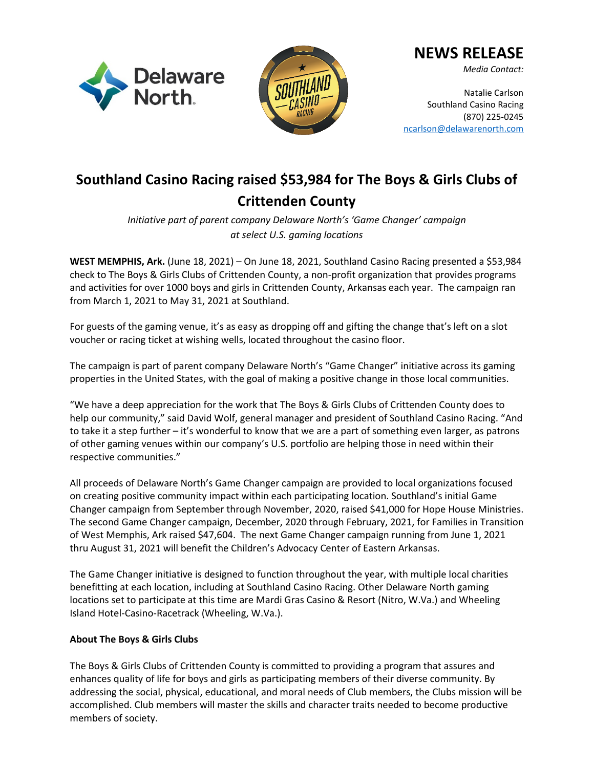



## **NEWS RELEASE**

*Media Contact:*

Natalie Carlson Southland Casino Racing (870) 225-0245 [ncarlson@delawarenorth.com](mailto:ncarlson@delawarenorth.com)

# **Southland Casino Racing raised \$53,984 for The Boys & Girls Clubs of Crittenden County**

*Initiative part of parent company Delaware North's 'Game Changer' campaign at select U.S. gaming locations* 

**WEST MEMPHIS, Ark.** (June 18, 2021) – On June 18, 2021, Southland Casino Racing presented a \$53,984 check to The Boys & Girls Clubs of Crittenden County, a non-profit organization that provides programs and activities for over 1000 boys and girls in Crittenden County, Arkansas each year. The campaign ran from March 1, 2021 to May 31, 2021 at Southland.

For guests of the gaming venue, it's as easy as dropping off and gifting the change that's left on a slot voucher or racing ticket at wishing wells, located throughout the casino floor.

The campaign is part of parent company Delaware North's "Game Changer" initiative across its gaming properties in the United States, with the goal of making a positive change in those local communities.

"We have a deep appreciation for the work that The Boys & Girls Clubs of Crittenden County does to help our community," said David Wolf, general manager and president of Southland Casino Racing. "And to take it a step further – it's wonderful to know that we are a part of something even larger, as patrons of other gaming venues within our company's U.S. portfolio are helping those in need within their respective communities."

All proceeds of Delaware North's Game Changer campaign are provided to local organizations focused on creating positive community impact within each participating location. Southland's initial Game Changer campaign from September through November, 2020, raised \$41,000 for Hope House Ministries. The second Game Changer campaign, December, 2020 through February, 2021, for Families in Transition of West Memphis, Ark raised \$47,604. The next Game Changer campaign running from June 1, 2021 thru August 31, 2021 will benefit the Children's Advocacy Center of Eastern Arkansas.

The Game Changer initiative is designed to function throughout the year, with multiple local charities benefitting at each location, including at Southland Casino Racing. Other Delaware North gaming locations set to participate at this time are Mardi Gras Casino & Resort (Nitro, W.Va.) and Wheeling Island Hotel-Casino-Racetrack (Wheeling, W.Va.).

## **About The Boys & Girls Clubs**

The Boys & Girls Clubs of Crittenden County is committed to providing a program that assures and enhances quality of life for boys and girls as participating members of their diverse community. By addressing the social, physical, educational, and moral needs of Club members, the Clubs mission will be accomplished. Club members will master the skills and character traits needed to become productive members of society.